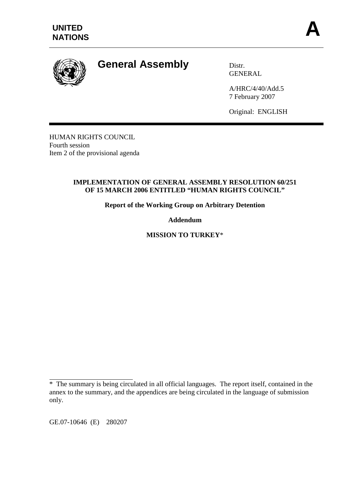

# **General Assembly** Distr.

**GENERAL** 

A/HRC/4/40/Add.5 7 February 2007

Original: ENGLISH

HUMAN RIGHTS COUNCIL Fourth session Item 2 of the provisional agenda

## **IMPLEMENTATION OF GENERAL ASSEMBLY RESOLUTION 60/251 OF 15 MARCH 2006 ENTITLED "HUMAN RIGHTS COUNCIL"**

**Report of the Working Group on Arbitrary Detention** 

**Addendum** 

**MISSION TO TURKEY**\*

GE.07-10646 (E) 280207

 $\overline{a}$ 

<sup>\*</sup> The summary is being circulated in all official languages. The report itself, contained in the annex to the summary, and the appendices are being circulated in the language of submission only.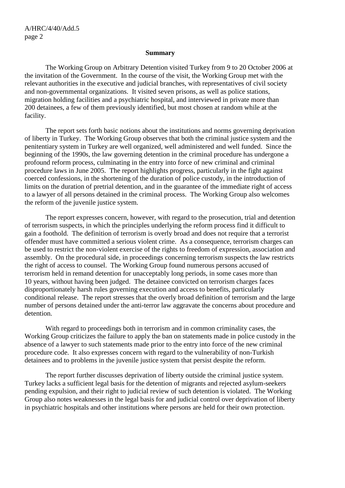#### **Summary**

 The Working Group on Arbitrary Detention visited Turkey from 9 to 20 October 2006 at the invitation of the Government. In the course of the visit, the Working Group met with the relevant authorities in the executive and judicial branches, with representatives of civil society and non-governmental organizations. It visited seven prisons, as well as police stations, migration holding facilities and a psychiatric hospital, and interviewed in private more than 200 detainees, a few of them previously identified, but most chosen at random while at the facility.

 The report sets forth basic notions about the institutions and norms governing deprivation of liberty in Turkey. The Working Group observes that both the criminal justice system and the penitentiary system in Turkey are well organized, well administered and well funded. Since the beginning of the 1990s, the law governing detention in the criminal procedure has undergone a profound reform process, culminating in the entry into force of new criminal and criminal procedure laws in June 2005. The report highlights progress, particularly in the fight against coerced confessions, in the shortening of the duration of police custody, in the introduction of limits on the duration of pretrial detention, and in the guarantee of the immediate right of access to a lawyer of all persons detained in the criminal process. The Working Group also welcomes the reform of the juvenile justice system.

 The report expresses concern, however, with regard to the prosecution, trial and detention of terrorism suspects, in which the principles underlying the reform process find it difficult to gain a foothold. The definition of terrorism is overly broad and does not require that a terrorist offender must have committed a serious violent crime. As a consequence, terrorism charges can be used to restrict the non-violent exercise of the rights to freedom of expression, association and assembly. On the procedural side, in proceedings concerning terrorism suspects the law restricts the right of access to counsel. The Working Group found numerous persons accused of terrorism held in remand detention for unacceptably long periods, in some cases more than 10 years, without having been judged. The detainee convicted on terrorism charges faces disproportionately harsh rules governing execution and access to benefits, particularly conditional release. The report stresses that the overly broad definition of terrorism and the large number of persons detained under the anti-terror law aggravate the concerns about procedure and detention.

With regard to proceedings both in terrorism and in common criminality cases, the Working Group criticizes the failure to apply the ban on statements made in police custody in the absence of a lawyer to such statements made prior to the entry into force of the new criminal procedure code. It also expresses concern with regard to the vulnerability of non-Turkish detainees and to problems in the juvenile justice system that persist despite the reform.

 The report further discusses deprivation of liberty outside the criminal justice system. Turkey lacks a sufficient legal basis for the detention of migrants and rejected asylum-seekers pending expulsion, and their right to judicial review of such detention is violated. The Working Group also notes weaknesses in the legal basis for and judicial control over deprivation of liberty in psychiatric hospitals and other institutions where persons are held for their own protection.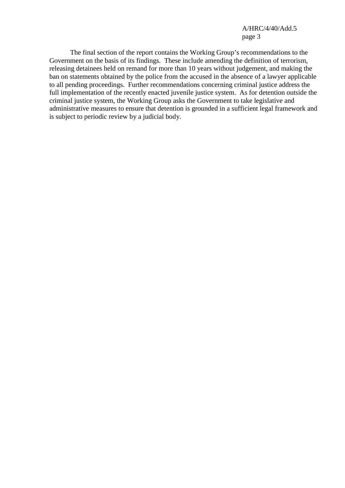The final section of the report contains the Working Group's recommendations to the Government on the basis of its findings. These include amending the definition of terrorism, releasing detainees held on remand for more than 10 years without judgement, and making the ban on statements obtained by the police from the accused in the absence of a lawyer applicable to all pending proceedings. Further recommendations concerning criminal justice address the full implementation of the recently enacted juvenile justice system. As for detention outside the criminal justice system, the Working Group asks the Government to take legislative and administrative measures to ensure that detention is grounded in a sufficient legal framework and is subject to periodic review by a judicial body.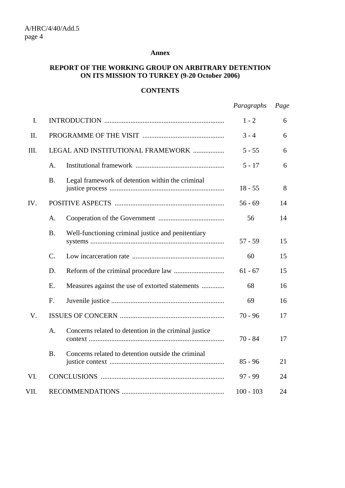#### **Annex**

## **REPORT OF THE WORKING GROUP ON ARBITRARY DETENTION ON ITS MISSION TO TURKEY (9-20 October 2006)**

## **CONTENTS**

|      |                                   |                                                       | Paragraphs  | Page |
|------|-----------------------------------|-------------------------------------------------------|-------------|------|
| I.   |                                   |                                                       | $1 - 2$     | 6    |
| II.  |                                   |                                                       | $3 - 4$     | 6    |
| III. | LEGAL AND INSTITUTIONAL FRAMEWORK |                                                       | $5 - 55$    | 6    |
|      | A.                                |                                                       | $5 - 17$    | 6    |
|      | <b>B.</b>                         | Legal framework of detention within the criminal      | $18 - 55$   | 8    |
| IV.  |                                   |                                                       | $56 - 69$   | 14   |
|      | A.                                |                                                       | 56          | 14   |
|      | <b>B.</b>                         | Well-functioning criminal justice and penitentiary    | $57 - 59$   | 15   |
|      | $\mathcal{C}$ .                   |                                                       | 60          | 15   |
|      | D.                                |                                                       | $61 - 67$   | 15   |
|      | E.                                | Measures against the use of extorted statements       | 68          | 16   |
|      | F.                                |                                                       | 69          | 16   |
| V.   |                                   |                                                       | $70 - 96$   | 17   |
|      | A <sub>1</sub>                    | Concerns related to detention in the criminal justice | $70 - 84$   | 17   |
|      | <b>B.</b>                         | Concerns related to detention outside the criminal    | $85 - 96$   | 21   |
| VI.  |                                   |                                                       | $97 - 99$   | 24   |
| VII. |                                   |                                                       | $100 - 103$ | 24   |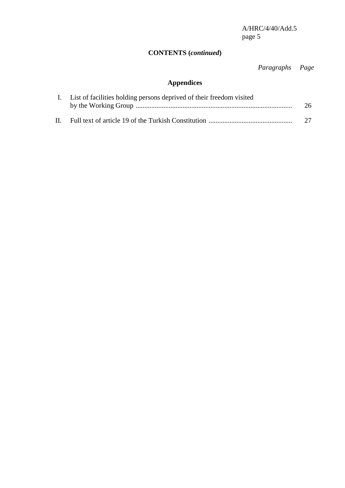## **CONTENTS (***continued***)**

## *Paragraphs Page*

## **Appendices**

| I. List of facilities holding persons deprived of their freedom visited | 26 |
|-------------------------------------------------------------------------|----|
|                                                                         | 27 |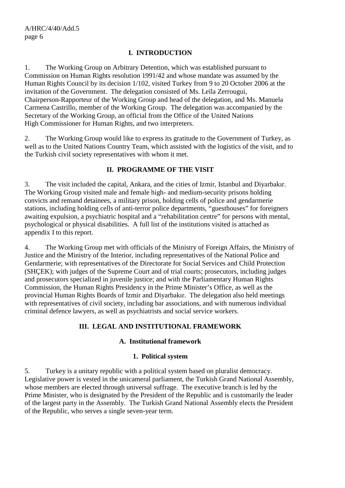### **I. INTRODUCTION**

1. The Working Group on Arbitrary Detention, which was established pursuant to Commission on Human Rights resolution 1991/42 and whose mandate was assumed by the Human Rights Council by its decision 1/102, visited Turkey from 9 to 20 October 2006 at the invitation of the Government. The delegation consisted of Ms. Leïla Zerrougui, Chairperson-Rapporteur of the Working Group and head of the delegation, and Ms. Manuela Carmena Castrillo, member of the Working Group. The delegation was accompanied by the Secretary of the Working Group, an official from the Office of the United Nations High Commissioner for Human Rights, and two interpreters.

2. The Working Group would like to express its gratitude to the Government of Turkey, as well as to the United Nations Country Team, which assisted with the logistics of the visit, and to the Turkish civil society representatives with whom it met.

## **II. PROGRAMME OF THE VISIT**

3. The visit included the capital, Ankara, and the cities of Izmir, Istanbul and Diyarbakır. The Working Group visited male and female high- and medium-security prisons holding convicts and remand detainees, a military prison, holding cells of police and gendarmerie stations, including holding cells of anti-terror police departments, "guesthouses" for foreigners awaiting expulsion, a psychiatric hospital and a "rehabilitation centre" for persons with mental, psychological or physical disabilities. A full list of the institutions visited is attached as appendix I to this report.

4. The Working Group met with officials of the Ministry of Foreign Affairs, the Ministry of Justice and the Ministry of the Interior, including representatives of the National Police and Gendarmerie; with representatives of the Directorate for Social Services and Child Protection (SHÇEK); with judges of the Supreme Court and of trial courts; prosecutors, including judges and prosecutors specialized in juvenile justice; and with the Parliamentary Human Rights Commission, the Human Rights Presidency in the Prime Minister's Office, as well as the provincial Human Rights Boards of Izmir and Diyarbakır. The delegation also held meetings with representatives of civil society, including bar associations, and with numerous individual criminal defence lawyers, as well as psychiatrists and social service workers.

## **III. LEGAL AND INSTITUTIONAL FRAMEWORK**

#### **A. Institutional framework**

#### **1. Political system**

5. Turkey is a unitary republic with a political system based on pluralist democracy. Legislative power is vested in the unicameral parliament, the Turkish Grand National Assembly, whose members are elected through universal suffrage. The executive branch is led by the Prime Minister, who is designated by the President of the Republic and is customarily the leader of the largest party in the Assembly. The Turkish Grand National Assembly elects the President of the Republic, who serves a single seven-year term.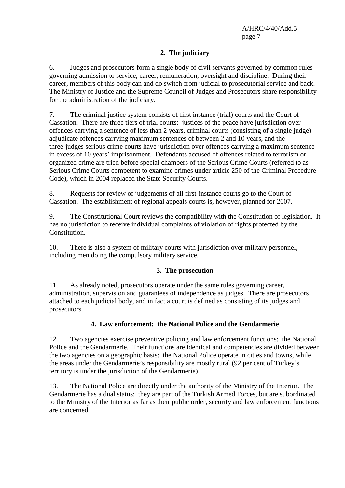## **2. The judiciary**

6. Judges and prosecutors form a single body of civil servants governed by common rules governing admission to service, career, remuneration, oversight and discipline. During their career, members of this body can and do switch from judicial to prosecutorial service and back. The Ministry of Justice and the Supreme Council of Judges and Prosecutors share responsibility for the administration of the judiciary.

7. The criminal justice system consists of first instance (trial) courts and the Court of Cassation. There are three tiers of trial courts: justices of the peace have jurisdiction over offences carrying a sentence of less than 2 years, criminal courts (consisting of a single judge) adjudicate offences carrying maximum sentences of between 2 and 10 years, and the three-judges serious crime courts have jurisdiction over offences carrying a maximum sentence in excess of 10 years' imprisonment. Defendants accused of offences related to terrorism or organized crime are tried before special chambers of the Serious Crime Courts (referred to as Serious Crime Courts competent to examine crimes under article 250 of the Criminal Procedure Code), which in 2004 replaced the State Security Courts.

8. Requests for review of judgements of all first-instance courts go to the Court of Cassation. The establishment of regional appeals courts is, however, planned for 2007.

9. The Constitutional Court reviews the compatibility with the Constitution of legislation. It has no jurisdiction to receive individual complaints of violation of rights protected by the Constitution.

10. There is also a system of military courts with jurisdiction over military personnel, including men doing the compulsory military service.

#### **3. The prosecution**

11. As already noted, prosecutors operate under the same rules governing career, administration, supervision and guarantees of independence as judges. There are prosecutors attached to each judicial body, and in fact a court is defined as consisting of its judges and prosecutors.

#### **4. Law enforcement: the National Police and the Gendarmerie**

12. Two agencies exercise preventive policing and law enforcement functions: the National Police and the Gendarmerie. Their functions are identical and competencies are divided between the two agencies on a geographic basis: the National Police operate in cities and towns, while the areas under the Gendarmerie's responsibility are mostly rural (92 per cent of Turkey's territory is under the jurisdiction of the Gendarmerie).

13. The National Police are directly under the authority of the Ministry of the Interior. The Gendarmerie has a dual status: they are part of the Turkish Armed Forces, but are subordinated to the Ministry of the Interior as far as their public order, security and law enforcement functions are concerned.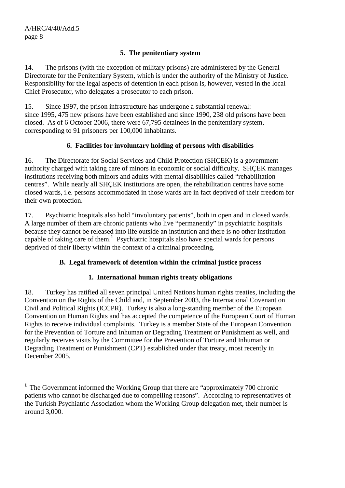$\overline{a}$ 

## **5. The penitentiary system**

14. The prisons (with the exception of military prisons) are administered by the General Directorate for the Penitentiary System, which is under the authority of the Ministry of Justice. Responsibility for the legal aspects of detention in each prison is, however, vested in the local Chief Prosecutor, who delegates a prosecutor to each prison.

15. Since 1997, the prison infrastructure has undergone a substantial renewal: since 1995, 475 new prisons have been established and since 1990, 238 old prisons have been closed. As of 6 October 2006, there were 67,795 detainees in the penitentiary system, corresponding to 91 prisoners per 100,000 inhabitants.

## **6. Facilities for involuntary holding of persons with disabilities**

16. The Directorate for Social Services and Child Protection (SHÇEK) is a government authority charged with taking care of minors in economic or social difficulty. SHÇEK manages institutions receiving both minors and adults with mental disabilities called "rehabilitation centres". While nearly all SHÇEK institutions are open, the rehabilitation centres have some closed wards, i.e. persons accommodated in those wards are in fact deprived of their freedom for their own protection.

17. Psychiatric hospitals also hold "involuntary patients", both in open and in closed wards. A large number of them are chronic patients who live "permanently" in psychiatric hospitals because they cannot be released into life outside an institution and there is no other institution capable of taking care of them.**<sup>1</sup>** Psychiatric hospitals also have special wards for persons deprived of their liberty within the context of a criminal proceeding.

## **B. Legal framework of detention within the criminal justice process**

## **1. International human rights treaty obligations**

18. Turkey has ratified all seven principal United Nations human rights treaties, including the Convention on the Rights of the Child and, in September 2003, the International Covenant on Civil and Political Rights (ICCPR). Turkey is also a long-standing member of the European Convention on Human Rights and has accepted the competence of the European Court of Human Rights to receive individual complaints. Turkey is a member State of the European Convention for the Prevention of Torture and Inhuman or Degrading Treatment or Punishment as well, and regularly receives visits by the Committee for the Prevention of Torture and Inhuman or Degrading Treatment or Punishment (CPT) established under that treaty, most recently in December 2005.

<sup>&</sup>lt;sup>1</sup> The Government informed the Working Group that there are "approximately 700 chronic patients who cannot be discharged due to compelling reasons". According to representatives of the Turkish Psychiatric Association whom the Working Group delegation met, their number is around 3,000.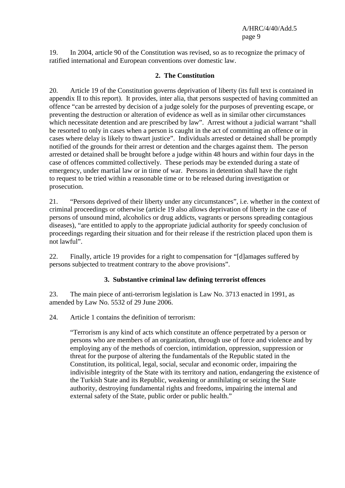19. In 2004, article 90 of the Constitution was revised, so as to recognize the primacy of ratified international and European conventions over domestic law.

#### **2. The Constitution**

20. Article 19 of the Constitution governs deprivation of liberty (its full text is contained in appendix II to this report). It provides, inter alia, that persons suspected of having committed an offence "can be arrested by decision of a judge solely for the purposes of preventing escape, or preventing the destruction or alteration of evidence as well as in similar other circumstances which necessitate detention and are prescribed by law". Arrest without a judicial warrant "shall be resorted to only in cases when a person is caught in the act of committing an offence or in cases where delay is likely to thwart justice". Individuals arrested or detained shall be promptly notified of the grounds for their arrest or detention and the charges against them. The person arrested or detained shall be brought before a judge within 48 hours and within four days in the case of offences committed collectively. These periods may be extended during a state of emergency, under martial law or in time of war. Persons in detention shall have the right to request to be tried within a reasonable time or to be released during investigation or prosecution.

21. "Persons deprived of their liberty under any circumstances", i.e. whether in the context of criminal proceedings or otherwise (article 19 also allows deprivation of liberty in the case of persons of unsound mind, alcoholics or drug addicts, vagrants or persons spreading contagious diseases), "are entitled to apply to the appropriate judicial authority for speedy conclusion of proceedings regarding their situation and for their release if the restriction placed upon them is not lawful".

22. Finally, article 19 provides for a right to compensation for "[d]amages suffered by persons subjected to treatment contrary to the above provisions".

## **3. Substantive criminal law defining terrorist offences**

23. The main piece of anti-terrorism legislation is Law No. 3713 enacted in 1991, as amended by Law No. 5532 of 29 June 2006.

24. Article 1 contains the definition of terrorism:

"Terrorism is any kind of acts which constitute an offence perpetrated by a person or persons who are members of an organization, through use of force and violence and by employing any of the methods of coercion, intimidation, oppression, suppression or threat for the purpose of altering the fundamentals of the Republic stated in the Constitution, its political, legal, social, secular and economic order, impairing the indivisible integrity of the State with its territory and nation, endangering the existence of the Turkish State and its Republic, weakening or annihilating or seizing the State authority, destroying fundamental rights and freedoms, impairing the internal and external safety of the State, public order or public health."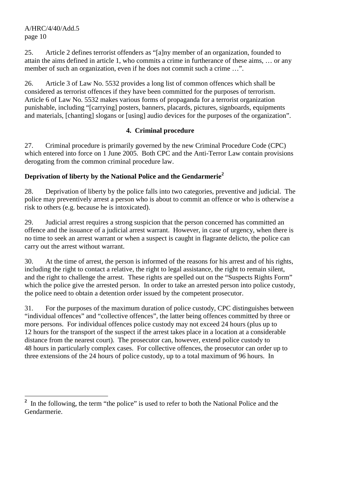$\overline{a}$ 

25. Article 2 defines terrorist offenders as "[a]ny member of an organization, founded to attain the aims defined in article 1, who commits a crime in furtherance of these aims, … or any member of such an organization, even if he does not commit such a crime ...".

26. Article 3 of Law No. 5532 provides a long list of common offences which shall be considered as terrorist offences if they have been committed for the purposes of terrorism. Article 6 of Law No. 5532 makes various forms of propaganda for a terrorist organization punishable, including "[carrying] posters, banners, placards, pictures, signboards, equipments and materials, [chanting] slogans or [using] audio devices for the purposes of the organization".

#### **4. Criminal procedure**

27. Criminal procedure is primarily governed by the new Criminal Procedure Code (CPC) which entered into force on 1 June 2005. Both CPC and the Anti-Terror Law contain provisions derogating from the common criminal procedure law.

#### **Deprivation of liberty by the National Police and the Gendarmerie<sup>2</sup>**

28. Deprivation of liberty by the police falls into two categories, preventive and judicial. The police may preventively arrest a person who is about to commit an offence or who is otherwise a risk to others (e.g. because he is intoxicated).

29. Judicial arrest requires a strong suspicion that the person concerned has committed an offence and the issuance of a judicial arrest warrant. However, in case of urgency, when there is no time to seek an arrest warrant or when a suspect is caught in flagrante delicto, the police can carry out the arrest without warrant.

30. At the time of arrest, the person is informed of the reasons for his arrest and of his rights, including the right to contact a relative, the right to legal assistance, the right to remain silent, and the right to challenge the arrest. These rights are spelled out on the "Suspects Rights Form" which the police give the arrested person. In order to take an arrested person into police custody, the police need to obtain a detention order issued by the competent prosecutor.

31. For the purposes of the maximum duration of police custody, CPC distinguishes between "individual offences" and "collective offences", the latter being offences committed by three or more persons. For individual offences police custody may not exceed 24 hours (plus up to 12 hours for the transport of the suspect if the arrest takes place in a location at a considerable distance from the nearest court). The prosecutor can, however, extend police custody to 48 hours in particularly complex cases. For collective offences, the prosecutor can order up to three extensions of the 24 hours of police custody, up to a total maximum of 96 hours. In

<sup>&</sup>lt;sup>2</sup> In the following, the term "the police" is used to refer to both the National Police and the Gendarmerie.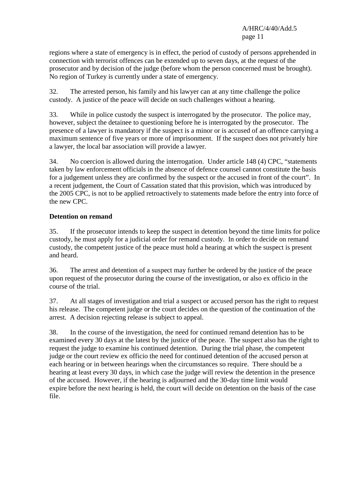regions where a state of emergency is in effect, the period of custody of persons apprehended in connection with terrorist offences can be extended up to seven days, at the request of the prosecutor and by decision of the judge (before whom the person concerned must be brought). No region of Turkey is currently under a state of emergency.

32. The arrested person, his family and his lawyer can at any time challenge the police custody. A justice of the peace will decide on such challenges without a hearing.

33. While in police custody the suspect is interrogated by the prosecutor. The police may, however, subject the detainee to questioning before he is interrogated by the prosecutor. The presence of a lawyer is mandatory if the suspect is a minor or is accused of an offence carrying a maximum sentence of five years or more of imprisonment. If the suspect does not privately hire a lawyer, the local bar association will provide a lawyer.

34. No coercion is allowed during the interrogation. Under article 148 (4) CPC, "statements taken by law enforcement officials in the absence of defence counsel cannot constitute the basis for a judgement unless they are confirmed by the suspect or the accused in front of the court". In a recent judgement, the Court of Cassation stated that this provision, which was introduced by the 2005 CPC, is not to be applied retroactively to statements made before the entry into force of the new CPC.

## **Detention on remand**

35. If the prosecutor intends to keep the suspect in detention beyond the time limits for police custody, he must apply for a judicial order for remand custody. In order to decide on remand custody, the competent justice of the peace must hold a hearing at which the suspect is present and heard.

36. The arrest and detention of a suspect may further be ordered by the justice of the peace upon request of the prosecutor during the course of the investigation, or also ex officio in the course of the trial.

37. At all stages of investigation and trial a suspect or accused person has the right to request his release. The competent judge or the court decides on the question of the continuation of the arrest. A decision rejecting release is subject to appeal.

38. In the course of the investigation, the need for continued remand detention has to be examined every 30 days at the latest by the justice of the peace. The suspect also has the right to request the judge to examine his continued detention. During the trial phase, the competent judge or the court review ex officio the need for continued detention of the accused person at each hearing or in between hearings when the circumstances so require. There should be a hearing at least every 30 days, in which case the judge will review the detention in the presence of the accused. However, if the hearing is adjourned and the 30-day time limit would expire before the next hearing is held, the court will decide on detention on the basis of the case file.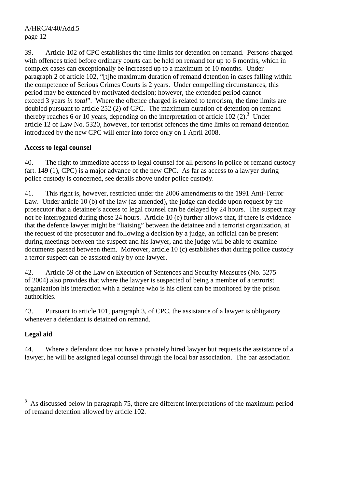39. Article 102 of CPC establishes the time limits for detention on remand. Persons charged with offences tried before ordinary courts can be held on remand for up to 6 months, which in complex cases can exceptionally be increased up to a maximum of 10 months. Under paragraph 2 of article 102, "[t]he maximum duration of remand detention in cases falling within the competence of Serious Crimes Courts is 2 years. Under compelling circumstances, this period may be extended by motivated decision; however, the extended period cannot exceed 3 years *in total*". Where the offence charged is related to terrorism, the time limits are doubled pursuant to article 252 (2) of CPC. The maximum duration of detention on remand thereby reaches 6 or 10 years, depending on the interpretation of article  $102$  (2).<sup>3</sup> Under article 12 of Law No. 5320, however, for terrorist offences the time limits on remand detention introduced by the new CPC will enter into force only on 1 April 2008.

## **Access to legal counsel**

40. The right to immediate access to legal counsel for all persons in police or remand custody (art. 149 (1), CPC) is a major advance of the new CPC. As far as access to a lawyer during police custody is concerned, see details above under police custody.

41. This right is, however, restricted under the 2006 amendments to the 1991 Anti-Terror Law. Under article 10 (b) of the law (as amended), the judge can decide upon request by the prosecutor that a detainee's access to legal counsel can be delayed by 24 hours. The suspect may not be interrogated during those 24 hours. Article 10 (e) further allows that, if there is evidence that the defence lawyer might be "liaising" between the detainee and a terrorist organization, at the request of the prosecutor and following a decision by a judge, an official can be present during meetings between the suspect and his lawyer, and the judge will be able to examine documents passed between them. Moreover, article 10 (c) establishes that during police custody a terror suspect can be assisted only by one lawyer.

42. Article 59 of the Law on Execution of Sentences and Security Measures (No. 5275 of 2004) also provides that where the lawyer is suspected of being a member of a terrorist organization his interaction with a detainee who is his client can be monitored by the prison authorities.

43. Pursuant to article 101, paragraph 3, of CPC, the assistance of a lawyer is obligatory whenever a defendant is detained on remand.

## **Legal aid**

44. Where a defendant does not have a privately hired lawyer but requests the assistance of a lawyer, he will be assigned legal counsel through the local bar association. The bar association

<sup>&</sup>lt;sup>3</sup> As discussed below in paragraph 75, there are different interpretations of the maximum period of remand detention allowed by article 102.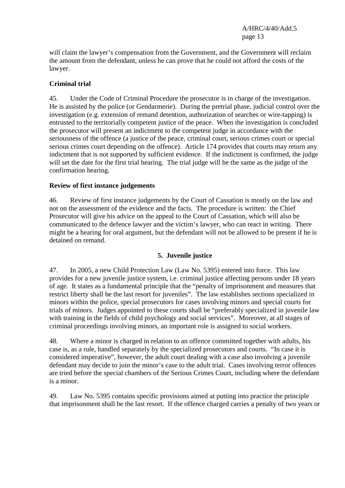will claim the lawyer's compensation from the Government, and the Government will reclaim the amount from the defendant, unless he can prove that he could not afford the costs of the lawyer.

### **Criminal trial**

45. Under the Code of Criminal Procedure the prosecutor is in charge of the investigation. He is assisted by the police (or Gendarmerie). During the pretrial phase, judicial control over the investigation (e.g. extension of remand detention, authorization of searches or wire-tapping) is entrusted to the territorially competent justice of the peace. When the investigation is concluded the prosecutor will present an indictment to the competent judge in accordance with the seriousness of the offence (a justice of the peace, criminal court, serious crimes court or special serious crimes court depending on the offence). Article 174 provides that courts may return any indictment that is not supported by sufficient evidence. If the indictment is confirmed, the judge will set the date for the first trial hearing. The trial judge will be the same as the judge of the confirmation hearing.

#### **Review of first instance judgements**

46. Review of first instance judgements by the Court of Cassation is mostly on the law and not on the assessment of the evidence and the facts. The procedure is written: the Chief Prosecutor will give his advice on the appeal to the Court of Cassation, which will also be communicated to the defence lawyer and the victim's lawyer, who can react in writing. There might be a hearing for oral argument, but the defendant will not be allowed to be present if he is detained on remand.

#### **5. Juvenile justice**

47. In 2005, a new Child Protection Law (Law No. 5395) entered into force. This law provides for a new juvenile justice system, i.e. criminal justice affecting persons under 18 years of age. It states as a fundamental principle that the "penalty of imprisonment and measures that restrict liberty shall be the last resort for juveniles". The law establishes sections specialized in minors within the police, special prosecutors for cases involving minors and special courts for trials of minors. Judges appointed to these courts shall be "preferably specialized in juvenile law with training in the fields of child psychology and social services". Moreover, at all stages of criminal proceedings involving minors, an important role is assigned to social workers.

48. Where a minor is charged in relation to an offence committed together with adults, his case is, as a rule, handled separately by the specialized prosecutors and courts. "In case it is considered imperative", however, the adult court dealing with a case also involving a juvenile defendant may decide to join the minor's case to the adult trial. Cases involving terror offences are tried before the special chambers of the Serious Crimes Court, including where the defendant is a minor.

49. Law No. 5395 contains specific provisions aimed at putting into practice the principle that imprisonment shall be the last resort. If the offence charged carries a penalty of two years or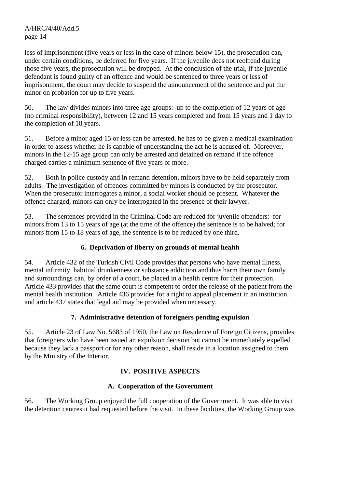less of imprisonment (five years or less in the case of minors below 15), the prosecution can, under certain conditions, be deferred for five years. If the juvenile does not reoffend during those five years, the prosecution will be dropped. At the conclusion of the trial, if the juvenile defendant is found guilty of an offence and would be sentenced to three years or less of imprisonment, the court may decide to suspend the announcement of the sentence and put the minor on probation for up to five years.

50. The law divides minors into three age groups: up to the completion of 12 years of age (no criminal responsibility), between 12 and 15 years completed and from 15 years and 1 day to the completion of 18 years.

51. Before a minor aged 15 or less can be arrested, he has to be given a medical examination in order to assess whether he is capable of understanding the act he is accused of. Moreover, minors in the 12-15 age group can only be arrested and detained on remand if the offence charged carries a minimum sentence of five years or more.

52. Both in police custody and in remand detention, minors have to be held separately from adults. The investigation of offences committed by minors is conducted by the prosecutor. When the prosecutor interrogates a minor, a social worker should be present. Whatever the offence charged, minors can only be interrogated in the presence of their lawyer.

53. The sentences provided in the Criminal Code are reduced for juvenile offenders: for minors from 13 to 15 years of age (at the time of the offence) the sentence is to be halved; for minors from 15 to 18 years of age, the sentence is to be reduced by one third.

## **6. Deprivation of liberty on grounds of mental health**

54. Article 432 of the Turkish Civil Code provides that persons who have mental illness, mental infirmity, habitual drunkenness or substance addiction and thus harm their own family and surroundings can, by order of a court, be placed in a health centre for their protection. Article 433 provides that the same court is competent to order the release of the patient from the mental health institution. Article 436 provides for a right to appeal placement in an institution, and article 437 states that legal aid may be provided when necessary.

## **7. Administrative detention of foreigners pending expulsion**

55. Article 23 of Law No. 5683 of 1950, the Law on Residence of Foreign Citizens, provides that foreigners who have been issued an expulsion decision but cannot be immediately expelled because they lack a passport or for any other reason, shall reside in a location assigned to them by the Ministry of the Interior.

## **IV. POSITIVE ASPECTS**

## **A. Cooperation of the Government**

56. The Working Group enjoyed the full cooperation of the Government. It was able to visit the detention centres it had requested before the visit. In these facilities, the Working Group was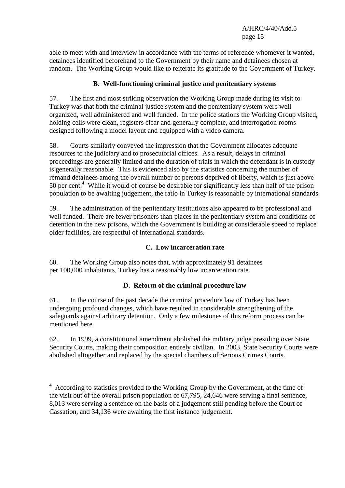able to meet with and interview in accordance with the terms of reference whomever it wanted, detainees identified beforehand to the Government by their name and detainees chosen at random. The Working Group would like to reiterate its gratitude to the Government of Turkey.

## **B. Well-functioning criminal justice and penitentiary systems**

57. The first and most striking observation the Working Group made during its visit to Turkey was that both the criminal justice system and the penitentiary system were well organized, well administered and well funded. In the police stations the Working Group visited, holding cells were clean, registers clear and generally complete, and interrogation rooms designed following a model layout and equipped with a video camera.

58. Courts similarly conveyed the impression that the Government allocates adequate resources to the judiciary and to prosecutorial offices. As a result, delays in criminal proceedings are generally limited and the duration of trials in which the defendant is in custody is generally reasonable. This is evidenced also by the statistics concerning the number of remand detainees among the overall number of persons deprived of liberty, which is just above 50 per cent.**<sup>4</sup>** While it would of course be desirable for significantly less than half of the prison population to be awaiting judgement, the ratio in Turkey is reasonable by international standards.

59. The administration of the penitentiary institutions also appeared to be professional and well funded. There are fewer prisoners than places in the penitentiary system and conditions of detention in the new prisons, which the Government is building at considerable speed to replace older facilities, are respectful of international standards.

#### **C. Low incarceration rate**

60. The Working Group also notes that, with approximately 91 detainees per 100,000 inhabitants, Turkey has a reasonably low incarceration rate.

## **D. Reform of the criminal procedure law**

61. In the course of the past decade the criminal procedure law of Turkey has been undergoing profound changes, which have resulted in considerable strengthening of the safeguards against arbitrary detention. Only a few milestones of this reform process can be mentioned here.

62. In 1999, a constitutional amendment abolished the military judge presiding over State Security Courts, making their composition entirely civilian. In 2003, State Security Courts were abolished altogether and replaced by the special chambers of Serious Crimes Courts.

<sup>&</sup>lt;sup>4</sup> According to statistics provided to the Working Group by the Government, at the time of the visit out of the overall prison population of 67,795, 24,646 were serving a final sentence, 8,013 were serving a sentence on the basis of a judgement still pending before the Court of Cassation, and 34,136 were awaiting the first instance judgement.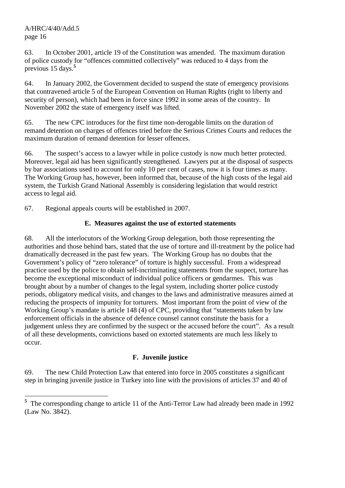$\overline{a}$ 

63. In October 2001, article 19 of the Constitution was amended. The maximum duration of police custody for "offences committed collectively" was reduced to 4 days from the previous 15 days.**<sup>5</sup>**

64. In January 2002, the Government decided to suspend the state of emergency provisions that contravened article 5 of the European Convention on Human Rights (right to liberty and security of person), which had been in force since 1992 in some areas of the country. In November 2002 the state of emergency itself was lifted.

65. The new CPC introduces for the first time non-derogable limits on the duration of remand detention on charges of offences tried before the Serious Crimes Courts and reduces the maximum duration of remand detention for lesser offences.

66. The suspect's access to a lawyer while in police custody is now much better protected. Moreover, legal aid has been significantly strengthened. Lawyers put at the disposal of suspects by bar associations used to account for only 10 per cent of cases, now it is four times as many. The Working Group has, however, been informed that, because of the high costs of the legal aid system, the Turkish Grand National Assembly is considering legislation that would restrict access to legal aid.

67. Regional appeals courts will be established in 2007.

## **E. Measures against the use of extorted statements**

68. All the interlocutors of the Working Group delegation, both those representing the authorities and those behind bars, stated that the use of torture and ill-treatment by the police had dramatically decreased in the past few years. The Working Group has no doubts that the Government's policy of "zero tolerance" of torture is highly successful. From a widespread practice used by the police to obtain self-incriminating statements from the suspect, torture has become the exceptional misconduct of individual police officers or gendarmes. This was brought about by a number of changes to the legal system, including shorter police custody periods, obligatory medical visits, and changes to the laws and administrative measures aimed at reducing the prospects of impunity for torturers. Most important from the point of view of the Working Group's mandate is article 148 (4) of CPC, providing that "statements taken by law enforcement officials in the absence of defence counsel cannot constitute the basis for a judgement unless they are confirmed by the suspect or the accused before the court". As a result of all these developments, convictions based on extorted statements are much less likely to occur.

#### **F. Juvenile justice**

69. The new Child Protection Law that entered into force in 2005 constitutes a significant step in bringing juvenile justice in Turkey into line with the provisions of articles 37 and 40 of

<sup>&</sup>lt;sup>5</sup> The corresponding change to article 11 of the Anti-Terror Law had already been made in 1992 (Law No. 3842).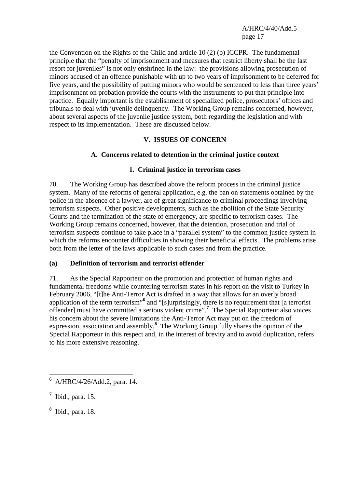the Convention on the Rights of the Child and article 10 (2) (b) ICCPR. The fundamental principle that the "penalty of imprisonment and measures that restrict liberty shall be the last resort for juveniles" is not only enshrined in the law: the provisions allowing prosecution of minors accused of an offence punishable with up to two years of imprisonment to be deferred for five years, and the possibility of putting minors who would be sentenced to less than three years' imprisonment on probation provide the courts with the instruments to put that principle into practice. Equally important is the establishment of specialized police, prosecutors' offices and tribunals to deal with juvenile delinquency. The Working Group remains concerned, however, about several aspects of the juvenile justice system, both regarding the legislation and with respect to its implementation. These are discussed below.

#### **V. ISSUES OF CONCERN**

#### **A. Concerns related to detention in the criminal justice context**

#### **1. Criminal justice in terrorism cases**

70. The Working Group has described above the reform process in the criminal justice system. Many of the reforms of general application, e.g. the ban on statements obtained by the police in the absence of a lawyer, are of great significance to criminal proceedings involving terrorism suspects. Other positive developments, such as the abolition of the State Security Courts and the termination of the state of emergency, are specific to terrorism cases. The Working Group remains concerned, however, that the detention, prosecution and trial of terrorism suspects continue to take place in a "parallel system" to the common justice system in which the reforms encounter difficulties in showing their beneficial effects. The problems arise both from the letter of the laws applicable to such cases and from the practice.

#### **(a) Definition of terrorism and terrorist offender**

71. As the Special Rapporteur on the promotion and protection of human rights and fundamental freedoms while countering terrorism states in his report on the visit to Turkey in February 2006, "[t]he Anti-Terror Act is drafted in a way that allows for an overly broad application of the term terrorism"<sup>6</sup> and "[s]urprisingly, there is no requirement that [a terrorist offender] must have committed a serious violent crime".**<sup>7</sup>** The Special Rapporteur also voices his concern about the severe limitations the Anti-Terror Act may put on the freedom of expression, association and assembly.**<sup>8</sup>** The Working Group fully shares the opinion of the Special Rapporteur in this respect and, in the interest of brevity and to avoid duplication, refers to his more extensive reasoning.

 $\overline{a}$ 

**<sup>6</sup>** A/HRC/4/26/Add.2, para. 14.

**<sup>7</sup>** Ibid., para. 15.

**<sup>8</sup>** Ibid., para. 18.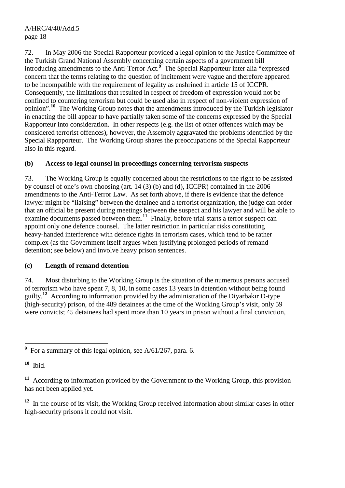72. In May 2006 the Special Rapporteur provided a legal opinion to the Justice Committee of the Turkish Grand National Assembly concerning certain aspects of a government bill introducing amendments to the Anti-Terror Act.**<sup>9</sup>** The Special Rapporteur inter alia "expressed concern that the terms relating to the question of incitement were vague and therefore appeared to be incompatible with the requirement of legality as enshrined in article 15 of ICCPR. Consequently, the limitations that resulted in respect of freedom of expression would not be confined to countering terrorism but could be used also in respect of non-violent expression of opinion".**<sup>10</sup>** The Working Group notes that the amendments introduced by the Turkish legislator in enacting the bill appear to have partially taken some of the concerns expressed by the Special Rapporteur into consideration. In other respects (e.g. the list of other offences which may be considered terrorist offences), however, the Assembly aggravated the problems identified by the Special Rappporteur. The Working Group shares the preoccupations of the Special Rapporteur also in this regard.

## **(b) Access to legal counsel in proceedings concerning terrorism suspects**

73. The Working Group is equally concerned about the restrictions to the right to be assisted by counsel of one's own choosing (art. 14 (3) (b) and (d), ICCPR) contained in the 2006 amendments to the Anti-Terror Law. As set forth above, if there is evidence that the defence lawyer might be "liaising" between the detainee and a terrorist organization, the judge can order that an official be present during meetings between the suspect and his lawyer and will be able to examine documents passed between them.<sup>11</sup> Finally, before trial starts a terror suspect can appoint only one defence counsel. The latter restriction in particular risks constituting heavy-handed interference with defence rights in terrorism cases, which tend to be rather complex (as the Government itself argues when justifying prolonged periods of remand detention; see below) and involve heavy prison sentences.

## **(c) Length of remand detention**

74. Most disturbing to the Working Group is the situation of the numerous persons accused of terrorism who have spent 7, 8, 10, in some cases 13 years in detention without being found guilty.**<sup>12</sup>** According to information provided by the administration of the Diyarbakır D-type (high-security) prison, of the 489 detainees at the time of the Working Group's visit, only 59 were convicts; 45 detainees had spent more than 10 years in prison without a final conviction,

<sup>12</sup> In the course of its visit, the Working Group received information about similar cases in other high-security prisons it could not visit.

 $\overline{a}$ **9** For a summary of this legal opinion, see A/61/267, para. 6.

**<sup>10</sup>** Ibid.

**<sup>11</sup>** According to information provided by the Government to the Working Group, this provision has not been applied yet.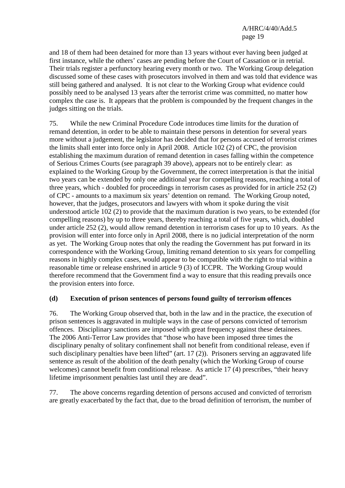and 18 of them had been detained for more than 13 years without ever having been judged at first instance, while the others' cases are pending before the Court of Cassation or in retrial. Their trials register a perfunctory hearing every month or two. The Working Group delegation discussed some of these cases with prosecutors involved in them and was told that evidence was still being gathered and analysed. It is not clear to the Working Group what evidence could possibly need to be analysed 13 years after the terrorist crime was committed, no matter how complex the case is. It appears that the problem is compounded by the frequent changes in the judges sitting on the trials.

75. While the new Criminal Procedure Code introduces time limits for the duration of remand detention, in order to be able to maintain these persons in detention for several years more without a judgement, the legislator has decided that for persons accused of terrorist crimes the limits shall enter into force only in April 2008. Article 102 (2) of CPC, the provision establishing the maximum duration of remand detention in cases falling within the competence of Serious Crimes Courts (see paragraph 39 above), appears not to be entirely clear: as explained to the Working Group by the Government, the correct interpretation is that the initial two years can be extended by only one additional year for compelling reasons, reaching a total of three years, which - doubled for proceedings in terrorism cases as provided for in article 252 (2) of CPC - amounts to a maximum six years' detention on remand. The Working Group noted, however, that the judges, prosecutors and lawyers with whom it spoke during the visit understood article 102 (2) to provide that the maximum duration is two years, to be extended (for compelling reasons) by up to three years, thereby reaching a total of five years, which, doubled under article 252 (2), would allow remand detention in terrorism cases for up to 10 years. As the provision will enter into force only in April 2008, there is no judicial interpretation of the norm as yet. The Working Group notes that only the reading the Government has put forward in its correspondence with the Working Group, limiting remand detention to six years for compelling reasons in highly complex cases, would appear to be compatible with the right to trial within a reasonable time or release enshrined in article 9 (3) of ICCPR. The Working Group would therefore recommend that the Government find a way to ensure that this reading prevails once the provision enters into force.

#### **(d) Execution of prison sentences of persons found guilty of terrorism offences**

76. The Working Group observed that, both in the law and in the practice, the execution of prison sentences is aggravated in multiple ways in the case of persons convicted of terrorism offences. Disciplinary sanctions are imposed with great frequency against these detainees. The 2006 Anti-Terror Law provides that "those who have been imposed three times the disciplinary penalty of solitary confinement shall not benefit from conditional release, even if such disciplinary penalties have been lifted" (art. 17 (2)). Prisoners serving an aggravated life sentence as result of the abolition of the death penalty (which the Working Group of course welcomes) cannot benefit from conditional release. As article 17 (4) prescribes, "their heavy lifetime imprisonment penalties last until they are dead".

77. The above concerns regarding detention of persons accused and convicted of terrorism are greatly exacerbated by the fact that, due to the broad definition of terrorism, the number of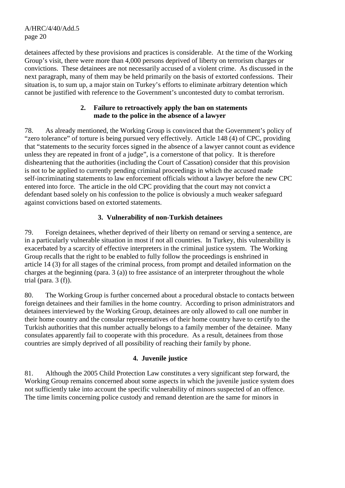detainees affected by these provisions and practices is considerable. At the time of the Working Group's visit, there were more than 4,000 persons deprived of liberty on terrorism charges or convictions. These detainees are not necessarily accused of a violent crime. As discussed in the next paragraph, many of them may be held primarily on the basis of extorted confessions. Their situation is, to sum up, a major stain on Turkey's efforts to eliminate arbitrary detention which cannot be justified with reference to the Government's uncontested duty to combat terrorism.

#### **2. Failure to retroactively apply the ban on statements made to the police in the absence of a lawyer**

78. As already mentioned, the Working Group is convinced that the Government's policy of "zero tolerance" of torture is being pursued very effectively. Article 148 (4) of CPC, providing that "statements to the security forces signed in the absence of a lawyer cannot count as evidence unless they are repeated in front of a judge", is a cornerstone of that policy. It is therefore disheartening that the authorities (including the Court of Cassation) consider that this provision is not to be applied to currently pending criminal proceedings in which the accused made self-incriminating statements to law enforcement officials without a lawyer before the new CPC entered into force. The article in the old CPC providing that the court may not convict a defendant based solely on his confession to the police is obviously a much weaker safeguard against convictions based on extorted statements.

## **3. Vulnerability of non-Turkish detainees**

79. Foreign detainees, whether deprived of their liberty on remand or serving a sentence, are in a particularly vulnerable situation in most if not all countries. In Turkey, this vulnerability is exacerbated by a scarcity of effective interpreters in the criminal justice system. The Working Group recalls that the right to be enabled to fully follow the proceedings is enshrined in article 14 (3) for all stages of the criminal process, from prompt and detailed information on the charges at the beginning (para. 3 (a)) to free assistance of an interpreter throughout the whole trial (para.  $3(f)$ ).

80. The Working Group is further concerned about a procedural obstacle to contacts between foreign detainees and their families in the home country. According to prison administrators and detainees interviewed by the Working Group, detainees are only allowed to call one number in their home country and the consular representatives of their home country have to certify to the Turkish authorities that this number actually belongs to a family member of the detainee. Many consulates apparently fail to cooperate with this procedure. As a result, detainees from those countries are simply deprived of all possibility of reaching their family by phone.

#### **4. Juvenile justice**

81. Although the 2005 Child Protection Law constitutes a very significant step forward, the Working Group remains concerned about some aspects in which the juvenile justice system does not sufficiently take into account the specific vulnerability of minors suspected of an offence. The time limits concerning police custody and remand detention are the same for minors in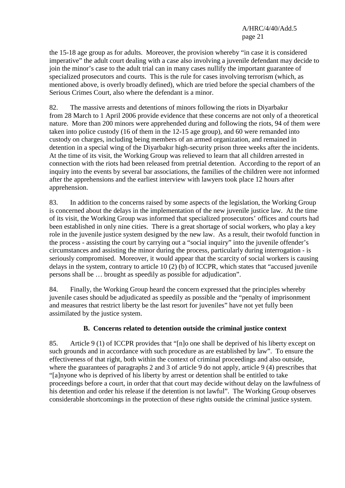the 15-18 age group as for adults. Moreover, the provision whereby "in case it is considered imperative" the adult court dealing with a case also involving a juvenile defendant may decide to join the minor's case to the adult trial can in many cases nullify the important guarantee of specialized prosecutors and courts. This is the rule for cases involving terrorism (which, as mentioned above, is overly broadly defined), which are tried before the special chambers of the Serious Crimes Court, also where the defendant is a minor.

82. The massive arrests and detentions of minors following the riots in Diyarbakır from 28 March to 1 April 2006 provide evidence that these concerns are not only of a theoretical nature. More than 200 minors were apprehended during and following the riots, 94 of them were taken into police custody (16 of them in the 12-15 age group), and 60 were remanded into custody on charges, including being members of an armed organization, and remained in detention in a special wing of the Diyarbakır high-security prison three weeks after the incidents. At the time of its visit, the Working Group was relieved to learn that all children arrested in connection with the riots had been released from pretrial detention. According to the report of an inquiry into the events by several bar associations, the families of the children were not informed after the apprehensions and the earliest interview with lawyers took place 12 hours after apprehension.

83. In addition to the concerns raised by some aspects of the legislation, the Working Group is concerned about the delays in the implementation of the new juvenile justice law. At the time of its visit, the Working Group was informed that specialized prosecutors' offices and courts had been established in only nine cities. There is a great shortage of social workers, who play a key role in the juvenile justice system designed by the new law. As a result, their twofold function in the process - assisting the court by carrying out a "social inquiry" into the juvenile offender's circumstances and assisting the minor during the process, particularly during interrogation - is seriously compromised. Moreover, it would appear that the scarcity of social workers is causing delays in the system, contrary to article 10 (2) (b) of ICCPR, which states that "accused juvenile persons shall be … brought as speedily as possible for adjudication".

84. Finally, the Working Group heard the concern expressed that the principles whereby juvenile cases should be adjudicated as speedily as possible and the "penalty of imprisonment and measures that restrict liberty be the last resort for juveniles" have not yet fully been assimilated by the justice system.

## **B. Concerns related to detention outside the criminal justice context**

85. Article 9 (1) of ICCPR provides that "[n]o one shall be deprived of his liberty except on such grounds and in accordance with such procedure as are established by law". To ensure the effectiveness of that right, both within the context of criminal proceedings and also outside, where the guarantees of paragraphs 2 and 3 of article 9 do not apply, article 9 (4) prescribes that "[a]nyone who is deprived of his liberty by arrest or detention shall be entitled to take proceedings before a court, in order that that court may decide without delay on the lawfulness of his detention and order his release if the detention is not lawful". The Working Group observes considerable shortcomings in the protection of these rights outside the criminal justice system.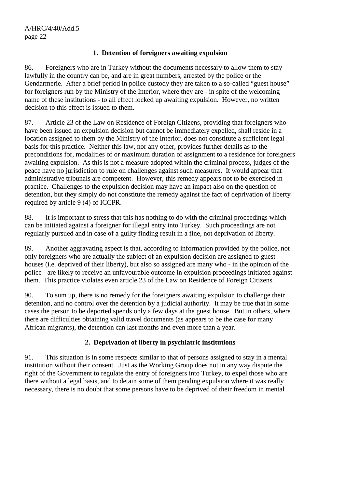## **1. Detention of foreigners awaiting expulsion**

86. Foreigners who are in Turkey without the documents necessary to allow them to stay lawfully in the country can be, and are in great numbers, arrested by the police or the Gendarmerie. After a brief period in police custody they are taken to a so-called "guest house" for foreigners run by the Ministry of the Interior, where they are - in spite of the welcoming name of these institutions - to all effect locked up awaiting expulsion. However, no written decision to this effect is issued to them.

87. Article 23 of the Law on Residence of Foreign Citizens, providing that foreigners who have been issued an expulsion decision but cannot be immediately expelled, shall reside in a location assigned to them by the Ministry of the Interior, does not constitute a sufficient legal basis for this practice. Neither this law, nor any other, provides further details as to the preconditions for, modalities of or maximum duration of assignment to a residence for foreigners awaiting expulsion. As this is not a measure adopted within the criminal process, judges of the peace have no jurisdiction to rule on challenges against such measures. It would appear that administrative tribunals are competent. However, this remedy appears not to be exercised in practice. Challenges to the expulsion decision may have an impact also on the question of detention, but they simply do not constitute the remedy against the fact of deprivation of liberty required by article 9 (4) of ICCPR.

88. It is important to stress that this has nothing to do with the criminal proceedings which can be initiated against a foreigner for illegal entry into Turkey. Such proceedings are not regularly pursued and in case of a guilty finding result in a fine, not deprivation of liberty.

89. Another aggravating aspect is that, according to information provided by the police, not only foreigners who are actually the subject of an expulsion decision are assigned to guest houses (i.e. deprived of their liberty), but also so assigned are many who - in the opinion of the police - are likely to receive an unfavourable outcome in expulsion proceedings initiated against them. This practice violates even article 23 of the Law on Residence of Foreign Citizens.

90. To sum up, there is no remedy for the foreigners awaiting expulsion to challenge their detention, and no control over the detention by a judicial authority. It may be true that in some cases the person to be deported spends only a few days at the guest house. But in others, where there are difficulties obtaining valid travel documents (as appears to be the case for many African migrants), the detention can last months and even more than a year.

#### **2. Deprivation of liberty in psychiatric institutions**

91. This situation is in some respects similar to that of persons assigned to stay in a mental institution without their consent. Just as the Working Group does not in any way dispute the right of the Government to regulate the entry of foreigners into Turkey, to expel those who are there without a legal basis, and to detain some of them pending expulsion where it was really necessary, there is no doubt that some persons have to be deprived of their freedom in mental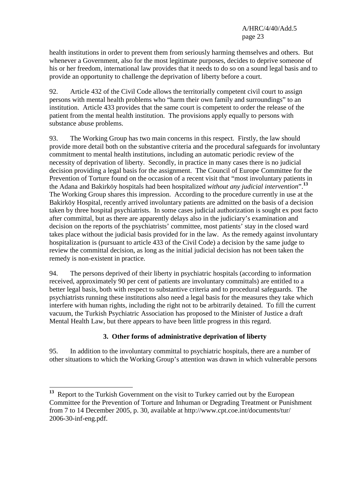health institutions in order to prevent them from seriously harming themselves and others. But whenever a Government, also for the most legitimate purposes, decides to deprive someone of his or her freedom, international law provides that it needs to do so on a sound legal basis and to provide an opportunity to challenge the deprivation of liberty before a court.

92. Article 432 of the Civil Code allows the territorially competent civil court to assign persons with mental health problems who "harm their own family and surroundings" to an institution. Article 433 provides that the same court is competent to order the release of the patient from the mental health institution. The provisions apply equally to persons with substance abuse problems.

93. The Working Group has two main concerns in this respect. Firstly, the law should provide more detail both on the substantive criteria and the procedural safeguards for involuntary commitment to mental health institutions, including an automatic periodic review of the necessity of deprivation of liberty. Secondly, in practice in many cases there is no judicial decision providing a legal basis for the assignment. The Council of Europe Committee for the Prevention of Torture found on the occasion of a recent visit that "most involuntary patients in the Adana and Bakirköy hospitals had been hospitalized *without any judicial intervention*".**<sup>13</sup>** The Working Group shares this impression. According to the procedure currently in use at the Bakirköy Hospital, recently arrived involuntary patients are admitted on the basis of a decision taken by three hospital psychiatrists. In some cases judicial authorization is sought ex post facto after committal, but as there are apparently delays also in the judiciary's examination and decision on the reports of the psychiatrists' committee, most patients' stay in the closed ward takes place without the judicial basis provided for in the law. As the remedy against involuntary hospitalization is (pursuant to article 433 of the Civil Code) a decision by the same judge to review the committal decision, as long as the initial judicial decision has not been taken the remedy is non-existent in practice.

94. The persons deprived of their liberty in psychiatric hospitals (according to information received, approximately 90 per cent of patients are involuntary committals) are entitled to a better legal basis, both with respect to substantive criteria and to procedural safeguards. The psychiatrists running these institutions also need a legal basis for the measures they take which interfere with human rights, including the right not to be arbitrarily detained. To fill the current vacuum, the Turkish Psychiatric Association has proposed to the Minister of Justice a draft Mental Health Law, but there appears to have been little progress in this regard.

## **3. Other forms of administrative deprivation of liberty**

95. In addition to the involuntary committal to psychiatric hospitals, there are a number of other situations to which the Working Group's attention was drawn in which vulnerable persons

 $\overline{a}$ <sup>13</sup> Report to the Turkish Government on the visit to Turkey carried out by the European Committee for the Prevention of Torture and Inhuman or Degrading Treatment or Punishment from 7 to 14 December 2005, p. 30, available at http://www.cpt.coe.int/documents/tur/ 2006-30-inf-eng.pdf.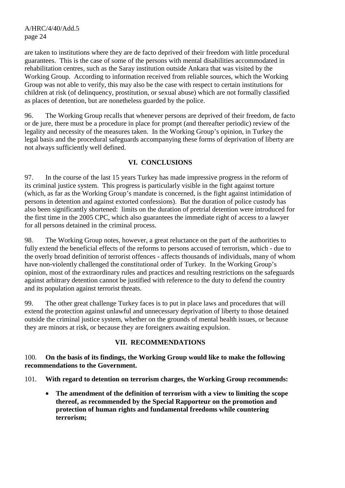are taken to institutions where they are de facto deprived of their freedom with little procedural guarantees. This is the case of some of the persons with mental disabilities accommodated in rehabilitation centres, such as the Saray institution outside Ankara that was visited by the Working Group. According to information received from reliable sources, which the Working Group was not able to verify, this may also be the case with respect to certain institutions for children at risk (of delinquency, prostitution, or sexual abuse) which are not formally classified as places of detention, but are nonetheless guarded by the police.

96. The Working Group recalls that whenever persons are deprived of their freedom, de facto or de jure, there must be a procedure in place for prompt (and thereafter periodic) review of the legality and necessity of the measures taken. In the Working Group's opinion, in Turkey the legal basis and the procedural safeguards accompanying these forms of deprivation of liberty are not always sufficiently well defined.

## **VI. CONCLUSIONS**

97. In the course of the last 15 years Turkey has made impressive progress in the reform of its criminal justice system. This progress is particularly visible in the fight against torture (which, as far as the Working Group's mandate is concerned, is the fight against intimidation of persons in detention and against extorted confessions). But the duration of police custody has also been significantly shortened: limits on the duration of pretrial detention were introduced for the first time in the 2005 CPC, which also guarantees the immediate right of access to a lawyer for all persons detained in the criminal process.

98. The Working Group notes, however, a great reluctance on the part of the authorities to fully extend the beneficial effects of the reforms to persons accused of terrorism, which - due to the overly broad definition of terrorist offences - affects thousands of individuals, many of whom have non-violently challenged the constitutional order of Turkey. In the Working Group's opinion, most of the extraordinary rules and practices and resulting restrictions on the safeguards against arbitrary detention cannot be justified with reference to the duty to defend the country and its population against terrorist threats.

99. The other great challenge Turkey faces is to put in place laws and procedures that will extend the protection against unlawful and unnecessary deprivation of liberty to those detained outside the criminal justice system, whether on the grounds of mental health issues, or because they are minors at risk, or because they are foreigners awaiting expulsion.

#### **VII. RECOMMENDATIONS**

#### 100. **On the basis of its findings, the Working Group would like to make the following recommendations to the Government.**

- 101. **With regard to detention on terrorism charges, the Working Group recommends:** 
	- **The amendment of the definition of terrorism with a view to limiting the scope thereof, as recommended by the Special Rapporteur on the promotion and protection of human rights and fundamental freedoms while countering terrorism;**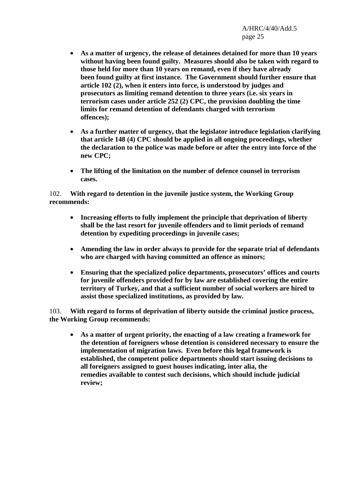- **As a matter of urgency, the release of detainees detained for more than 10 years without having been found guilty. Measures should also be taken with regard to those held for more than 10 years on remand, even if they have already been found guilty at first instance. The Government should further ensure that article 102 (2), when it enters into force, is understood by judges and prosecutors as limiting remand detention to three years (i.e. six years in terrorism cases under article 252 (2) CPC, the provision doubling the time limits for remand detention of defendants charged with terrorism offences);**
- **As a further matter of urgency, that the legislator introduce legislation clarifying that article 148 (4) CPC should be applied in all ongoing proceedings, whether the declaration to the police was made before or after the entry into force of the new CPC;**
- **The lifting of the limitation on the number of defence counsel in terrorism cases.**

102. **With regard to detention in the juvenile justice system, the Working Group recommends:** 

- **Increasing efforts to fully implement the principle that deprivation of liberty shall be the last resort for juvenile offenders and to limit periods of remand detention by expediting proceedings in juvenile cases;**
- **Amending the law in order always to provide for the separate trial of defendants who are charged with having committed an offence as minors;**
- **Ensuring that the specialized police departments, prosecutors' offices and courts for juvenile offenders provided for by law are established covering the entire territory of Turkey, and that a sufficient number of social workers are hired to assist those specialized institutions, as provided by law.**

103. **With regard to forms of deprivation of liberty outside the criminal justice process, the Working Group recommends:** 

• **As a matter of urgent priority, the enacting of a law creating a framework for the detention of foreigners whose detention is considered necessary to ensure the implementation of migration laws. Even before this legal framework is established, the competent police departments should start issuing decisions to all foreigners assigned to guest houses indicating, inter alia, the remedies available to contest such decisions, which should include judicial review;**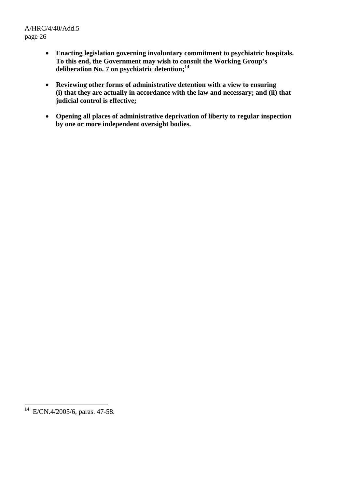- **Enacting legislation governing involuntary commitment to psychiatric hospitals. To this end, the Government may wish to consult the Working Group's deliberation No. 7 on psychiatric detention;<sup>14</sup>**
- **Reviewing other forms of administrative detention with a view to ensuring (i) that they are actually in accordance with the law and necessary; and (ii) that judicial control is effective;**
- **Opening all places of administrative deprivation of liberty to regular inspection by one or more independent oversight bodies.**

 $\overline{a}$ **<sup>14</sup>** E/CN.4/2005/6, paras. 47-58.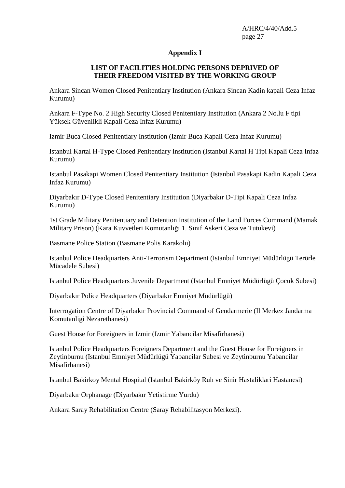#### **Appendix I**

#### **LIST OF FACILITIES HOLDING PERSONS DEPRIVED OF THEIR FREEDOM VISITED BY THE WORKING GROUP**

Ankara Sincan Women Closed Penitentiary Institution (Ankara Sincan Kadin kapali Ceza Infaz Kurumu)

Ankara F-Type No. 2 High Security Closed Penitentiary Institution (Ankara 2 No.lu F tipi Yüksek Güvenlikli Kapali Ceza Infaz Kurumu)

Izmir Buca Closed Penitentiary Institution (Izmir Buca Kapali Ceza Infaz Kurumu)

Istanbul Kartal H-Type Closed Penitentiary Institution (Istanbul Kartal H Tipi Kapali Ceza Infaz Kurumu)

Istanbul Pasakapi Women Closed Penitentiary Institution (Istanbul Pasakapi Kadin Kapali Ceza Infaz Kurumu)

Diyarbakır D-Type Closed Penitentiary Institution (Diyarbakır D-Tipi Kapali Ceza Infaz Kurumu)

1st Grade Military Penitentiary and Detention Institution of the Land Forces Command (Mamak Military Prison) (Kara Kuvvetleri Komutanlığı 1. Sınıf Askeri Ceza ve Tutukevi)

Basmane Police Station (Basmane Polis Karakolu)

Istanbul Police Headquarters Anti-Terrorism Department (Istanbul Emniyet Müdürlügü Terörle Mücadele Subesi)

Istanbul Police Headquarters Juvenile Department (Istanbul Emniyet Müdürlügü Çocuk Subesi)

Diyarbakır Police Headquarters (Diyarbakır Emniyet Müdürlügü)

Interrogation Centre of Diyarbakır Provincial Command of Gendarmerie (Il Merkez Jandarma Komutanligi Nezarethanesi)

Guest House for Foreigners in Izmir (Izmir Yabancilar Misafirhanesi)

Istanbul Police Headquarters Foreigners Department and the Guest House for Foreigners in Zeytinburnu (Istanbul Emniyet Müdürlügü Yabancilar Subesi ve Zeytinburnu Yabancilar Misafirhanesi)

Istanbul Bakirkoy Mental Hospital (Istanbul Bakirköy Ruh ve Sinir Hastaliklari Hastanesi)

Diyarbakır Orphanage (Diyarbakır Yetistirme Yurdu)

Ankara Saray Rehabilitation Centre (Saray Rehabilitasyon Merkezi).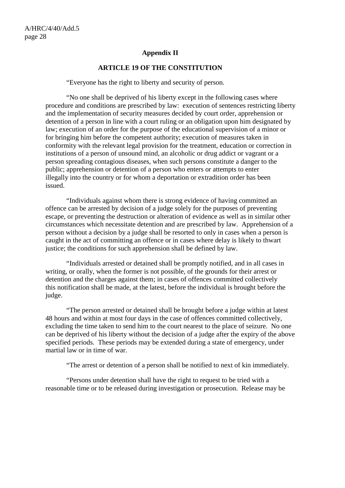#### **Appendix II**

#### **ARTICLE 19 OF THE CONSTITUTION**

"Everyone has the right to liberty and security of person.

 "No one shall be deprived of his liberty except in the following cases where procedure and conditions are prescribed by law: execution of sentences restricting liberty and the implementation of security measures decided by court order, apprehension or detention of a person in line with a court ruling or an obligation upon him designated by law; execution of an order for the purpose of the educational supervision of a minor or for bringing him before the competent authority; execution of measures taken in conformity with the relevant legal provision for the treatment, education or correction in institutions of a person of unsound mind, an alcoholic or drug addict or vagrant or a person spreading contagious diseases, when such persons constitute a danger to the public; apprehension or detention of a person who enters or attempts to enter illegally into the country or for whom a deportation or extradition order has been issued.

 "Individuals against whom there is strong evidence of having committed an offence can be arrested by decision of a judge solely for the purposes of preventing escape, or preventing the destruction or alteration of evidence as well as in similar other circumstances which necessitate detention and are prescribed by law. Apprehension of a person without a decision by a judge shall be resorted to only in cases when a person is caught in the act of committing an offence or in cases where delay is likely to thwart justice; the conditions for such apprehension shall be defined by law.

 "Individuals arrested or detained shall be promptly notified, and in all cases in writing, or orally, when the former is not possible, of the grounds for their arrest or detention and the charges against them; in cases of offences committed collectively this notification shall be made, at the latest, before the individual is brought before the judge.

 "The person arrested or detained shall be brought before a judge within at latest 48 hours and within at most four days in the case of offences committed collectively, excluding the time taken to send him to the court nearest to the place of seizure. No one can be deprived of his liberty without the decision of a judge after the expiry of the above specified periods. These periods may be extended during a state of emergency, under martial law or in time of war.

"The arrest or detention of a person shall be notified to next of kin immediately.

 "Persons under detention shall have the right to request to be tried with a reasonable time or to be released during investigation or prosecution. Release may be